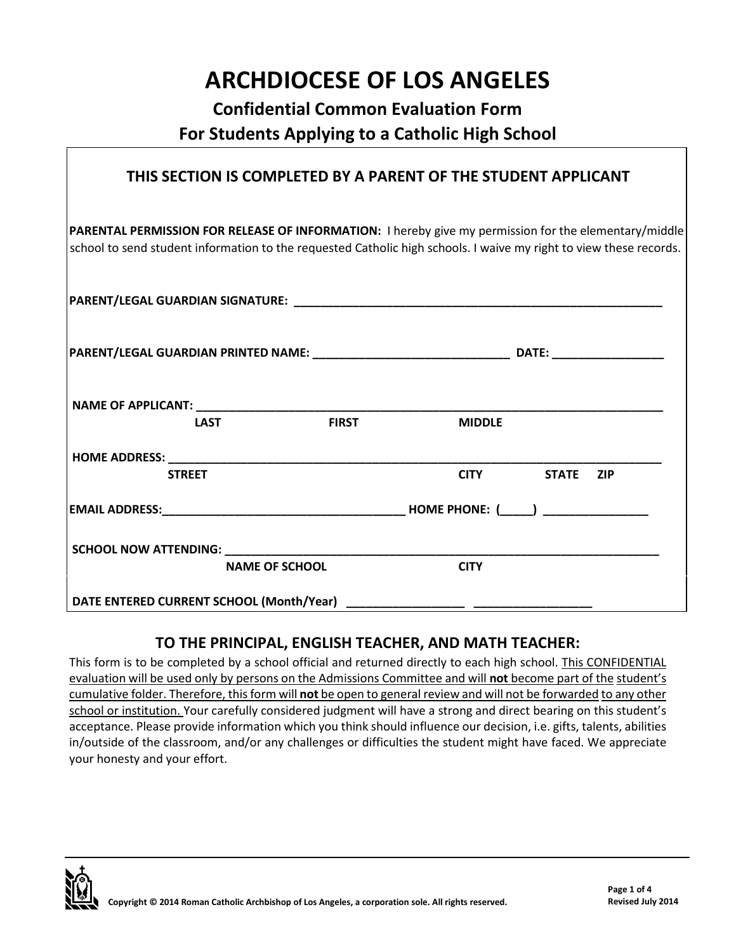## **ARCHDIOCESE OF LOS ANGELES**

### **Confidential Common Evaluation Form For Students Applying to a Catholic High School**

#### **THIS SECTION IS COMPLETED BY A PARENT OF THE STUDENT APPLICANT**

**PARENTAL PERMISSION FOR RELEASE OF INFORMATION:** I hereby give my permission for the elementary/middle school to send student information to the requested Catholic high schools. I waive my right to view these records.

|  | <b>LAST</b>           | <b>FIRST</b> | <b>MIDDLE</b> |                |  |
|--|-----------------------|--------------|---------------|----------------|--|
|  |                       |              |               |                |  |
|  | <b>STREET</b>         |              |               | CITY STATE ZIP |  |
|  |                       |              |               |                |  |
|  |                       |              |               |                |  |
|  | <b>NAME OF SCHOOL</b> |              | <b>CITY</b>   |                |  |
|  |                       |              |               |                |  |

#### **TO THE PRINCIPAL, ENGLISH TEACHER, AND MATH TEACHER:**

This form is to be completed by a school official and returned directly to each high school. This CONFIDENTIAL evaluation will be used only by persons on the Admissions Committee and will **not** become part of the student's cumulative folder. Therefore, this form will **not** be open to general review and will not be forwarded to any other school or institution. Your carefully considered judgment will have a strong and direct bearing on this student's acceptance. Please provide information which you think should influence our decision, i.e. gifts, talents, abilities in/outside of the classroom, and/or any challenges or difficulties the student might have faced. We appreciate your honesty and your effort.

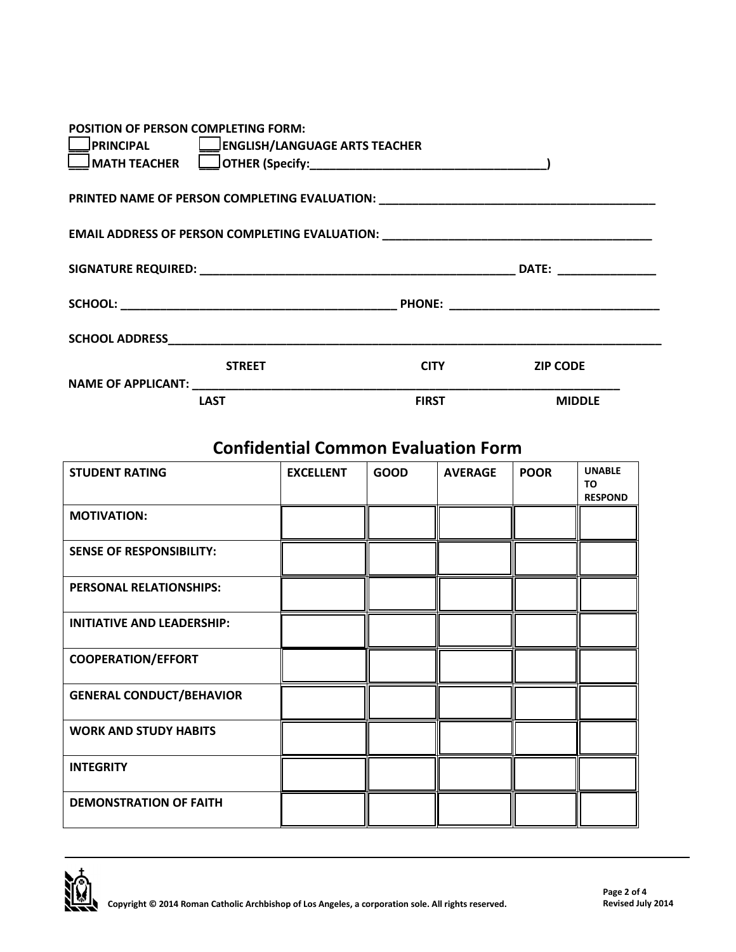| POSITION OF PERSON COMPLETING FORM:                                              |              |                 |
|----------------------------------------------------------------------------------|--------------|-----------------|
| PRINCIPAL   ENGLISH/LANGUAGE ARTS TEACHER                                        |              |                 |
|                                                                                  |              |                 |
| PRINTED NAME OF PERSON COMPLETING EVALUATION: __________________________________ |              |                 |
| EMAIL ADDRESS OF PERSON COMPLETING EVALUATION: _________________________________ |              |                 |
|                                                                                  |              |                 |
|                                                                                  |              |                 |
|                                                                                  |              |                 |
| <b>STREET</b>                                                                    | <b>CITY</b>  | <b>ZIP CODE</b> |
|                                                                                  |              |                 |
| <b>LAST</b>                                                                      | <b>FIRST</b> | <b>MIDDLE</b>   |

## **Confidential Common Evaluation Form**

| <b>STUDENT RATING</b>             | <b>EXCELLENT</b> | <b>GOOD</b> | <b>AVERAGE</b> | <b>POOR</b> | <b>UNABLE</b><br><b>TO</b><br><b>RESPOND</b> |
|-----------------------------------|------------------|-------------|----------------|-------------|----------------------------------------------|
| <b>MOTIVATION:</b>                |                  |             |                |             |                                              |
| <b>SENSE OF RESPONSIBILITY:</b>   |                  |             |                |             |                                              |
| <b>PERSONAL RELATIONSHIPS:</b>    |                  |             |                |             |                                              |
| <b>INITIATIVE AND LEADERSHIP:</b> |                  |             |                |             |                                              |
| <b>COOPERATION/EFFORT</b>         |                  |             |                |             |                                              |
| <b>GENERAL CONDUCT/BEHAVIOR</b>   |                  |             |                |             |                                              |
| <b>WORK AND STUDY HABITS</b>      |                  |             |                |             |                                              |
| <b>INTEGRITY</b>                  |                  |             |                |             |                                              |
| <b>DEMONSTRATION OF FAITH</b>     |                  |             |                |             |                                              |

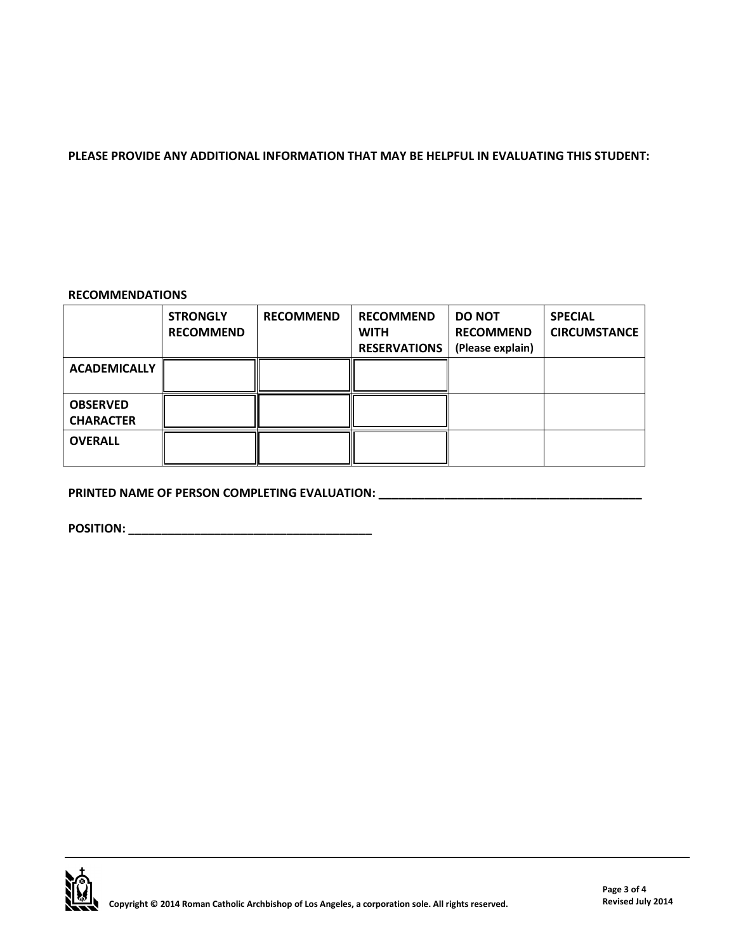#### **PLEASE PROVIDE ANY ADDITIONAL INFORMATION THAT MAY BE HELPFUL IN EVALUATING THIS STUDENT:**

#### **RECOMMENDATIONS**

|                                     | <b>STRONGLY</b><br><b>RECOMMEND</b> | <b>RECOMMEND</b> | <b>RECOMMEND</b><br><b>WITH</b><br><b>RESERVATIONS</b> | <b>DO NOT</b><br><b>RECOMMEND</b><br>(Please explain) | <b>SPECIAL</b><br><b>CIRCUMSTANCE</b> |
|-------------------------------------|-------------------------------------|------------------|--------------------------------------------------------|-------------------------------------------------------|---------------------------------------|
| <b>ACADEMICALLY</b>                 |                                     |                  |                                                        |                                                       |                                       |
| <b>OBSERVED</b><br><b>CHARACTER</b> |                                     |                  |                                                        |                                                       |                                       |
| <b>OVERALL</b>                      |                                     |                  |                                                        |                                                       |                                       |

**PRINTED NAME OF PERSON COMPLETING EVALUATION: \_\_\_\_\_\_\_\_\_\_\_\_\_\_\_\_\_\_\_\_\_\_\_\_\_\_\_\_\_\_\_\_\_\_** 

**POSITION: \_\_\_\_\_\_\_\_\_\_\_\_\_\_\_\_\_\_\_\_\_\_\_\_\_\_\_\_\_\_\_\_\_\_\_\_\_**